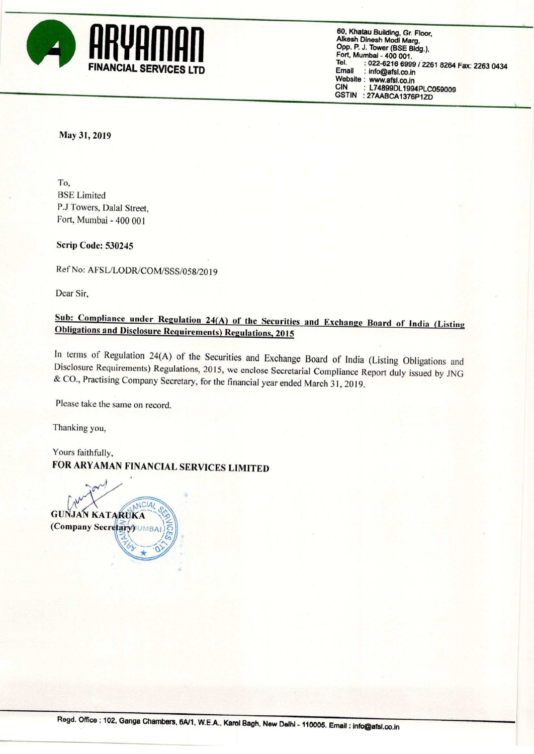

60, Khatau Building, Gr. Floor, Alkesh Dinesh Modi Marg, Opp. P. J. Tower (BSE Bldg), Fort. Mumbai - 400 001. Tel. : 022-6216 6999 / 2261 8264 Fax: 2263 0434<br>Email : info@afsl.co.in : info@afsl.co.in Website: www.afsl.co.in<br>CIN: 174899011904 L74899DL1994PLC059009 GSTIN :27AABCA1376P1ZD

#### May 31,2019

To, BSE Limited P.J Towers, Dalal Street, Fort, Mumbai - 400 001

Scrip Code: 530245

Ref No: AFSL/LODR/COM/SSS/058/2019

Dear Sir,

## Sub: Compliance under Regulation 24(A) of the Securities and Exchange Board of India (Listing Obligations and Disclosure Requirements) Regulations, 2015

In terms of Regulation 24(A) of the Securities and Exchange Board of India (Listing Obligations and Disclosure Requirements) Regulations, 2015, we enclose Secretarial Compliance Report duly issued by JNG & (70., Practising Company Secretary, for the financial year ended March <sup>3</sup> I, 2019.

Please take the same on record.

Thanking you,

Yours faithfully, FOR ARYAMAN FINANCIAL SERVICES LIMITED

NCIA/ **GUNJAN KATARUKA** (Company Secretary) UMBA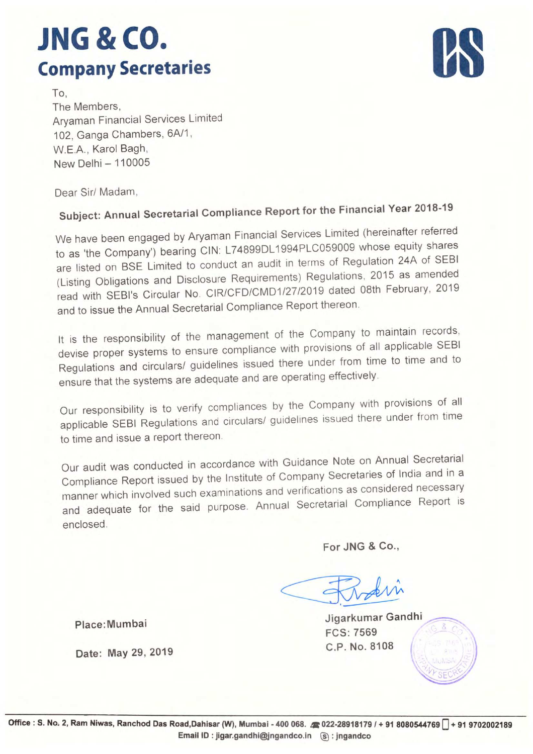# **JNG & CO.** Company Secretaries



To, The Members, Aryaman Financial Services Limited 102, Ganga Chambers, 6A/1, W.E.A., Karol Bagh, New Delhi - 110005

Dear Sir/ Madam,

### Subject: Annual Secretarial Compliance Report for the Financial Year 2018-19

We have been engaged by Aryaman Financial Services Limited (hereinafter referred to as 'the Company') bearing CIN: L74899DL1994PLC059009 whose equity shares are listed on BSE Limited to conduct an audit in terms of Regulation 24A of SEBI (Listing Obligations and Disclosure Requirements) Regulations, <sup>2015</sup> as amended read with SEBI's Circular No. CIR/CFD/CMD1/27/2019 dated 08th February, <sup>2019</sup> and to issue the Annual Secretarial Compliance Report thereon

It is the responsibility of the management of the Company to maintain records. devise proper systems to ensure compliance with provisions of all applicable SEBI Regulations and circulars/ guidelines issued there under from time to time and to ensure that the systems are adequate and are operating effectively.

Our responsibility is to verify compliances by the Company with provisions of all applicable SEBI Regulations and circulars/ guidelines issued there under from time to time and issue <sup>a</sup> report thereon

Our audit was conducted in accordance with Guidance Note on Annual Secretarial Compliance Report issued by the Institute of Company Secretaries of India and in <sup>a</sup> manner which involved such examinations and verifications as considered necessary and adequate for the said purpose. Annual Secretarial Compliance Report is<br>
enclosed.<br>
For JNG & Co.,<br>
For JNG & Co.,<br>
Jigarkumar Gandhi<br>
FCS: 7569 enclosed.

For JNG & C0,,

Place:Mumbai Jigarkumar Gandhi Jigarkumar Gandhi

FCS: 7569

 $\ddot{\phantom{0}}$ WY SECRO

l

Date: May 29, 2019 G.P. No. 8108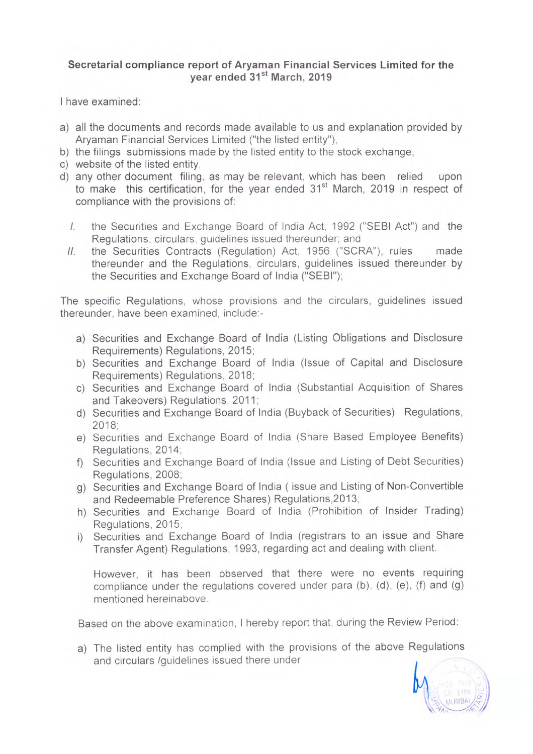#### Secretarial compliance report of Aryaman Financial Services Limited for the year ended 31<sup>st</sup> March, 2019

<sup>l</sup> have examined:

- a) all the documents and records made available to us and explanation provided by Aryaman Financial Services Limited ("the listed entity"),
- b) the filings submissions made by the listed entity to the stock exchange,
- 0) website of the listed entity,
- d) any other document filing, as may be relevant, which has been relied upon to make this certification, for the year ended 31<sup>st</sup> March, 2019 in respect of compliance with the provisions of:
	- l, the Securities and Exchange Board of India Act, 1992 ("SEBI Act") and the Regulations, circulars, guidelines issued thereunder; and
	- l/. the Securities Contracts (Regulation) Act, 1956 ("SCRA"), rules made thereunder and the Regulations, circulars, guidelines issued thereunder by the Securities and Exchange Board of India ("SEBI");

The specific Regulations, whose provisions and the circulars, guidelines issued thereunder, have been examined, include:-

- a) Securities and Exchange Board of India (Listing Obligations and Disclosure Requirements) Regulations, 2015;
- b) Securities and Exchange Board of India (Issue of Capital and Disclosure Requirements) Regulations, 2018;
- c) Securities and Exchange Board of India (Substantial Acquisition of Shares and Takeovers) Regulations, 2011;
- d) Securities and Exchange Board of India (Buyback of Securities) Regulations, 2018;
- e) Securities and Exchange Board of India (Share Based Employee Benefits) Regulations, 2014;
- f) Securities and Exchange Board of India (Issue and Listing of Debt Securities) Regulations, 2008;
- 9) Securities and Exchange Board of India ( issue and Listing of Non-Convertible and Redeemable Preference Shares) Regulations,2013;
- h) Securities and Exchange Board of India (Prohibition of Insider Trading) Regulations, 2015;
- i) Securities and Exchange Board of India (registrars to an issue and Share Transfer Agent) Regulations, 1993, regarding act and dealing with client.

However, it has been observed that there were no events requiring compliance under the regulations covered under para (b), (d), (e), (f) and (g) mentioned hereinabove,

Based on the above examination, <sup>I</sup> hereby report that, during the Review Period:

a) The listed entity has complied with the provisions of the above Regulations and circulars /guidelines issued there under

> MUMBAL **PARTIAL**

)

3/